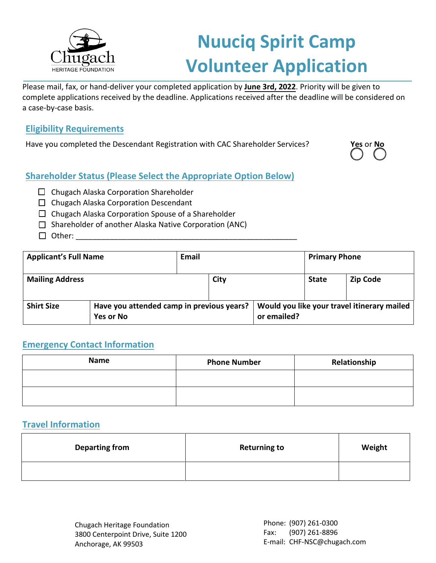

# **Nuuciq Spirit Camp Volunteer Application**

Please mail, fax, or hand-deliver your completed application by **June 3rd, 2022**. Priority will be given to complete applications received by the deadline. Applications received after the deadline will be considered on a case-by-case basis.

#### **Eligibility Requirements**

Have you completed the Descendant Registration with CAC Shareholder Services? **Yes** or **No**



### **Shareholder Status (Please Select the Appropriate Option Below)**

- $\Box$  Chugach Alaska Corporation Shareholder
- $\Box$  Chugach Alaska Corporation Descendant
- $\Box$  Chugach Alaska Corporation Spouse of a Shareholder
- $\Box$  Shareholder of another Alaska Native Corporation (ANC)
- $\Box$  Other:

| <b>Applicant's Full Name</b> |                                                               | Email |      |                                                            | <b>Primary Phone</b> |                 |  |  |  |  |
|------------------------------|---------------------------------------------------------------|-------|------|------------------------------------------------------------|----------------------|-----------------|--|--|--|--|
| <b>Mailing Address</b>       |                                                               |       | City |                                                            | <b>State</b>         | <b>Zip Code</b> |  |  |  |  |
| <b>Shirt Size</b>            | Have you attended camp in previous years?<br><b>Yes or No</b> |       |      | Would you like your travel itinerary mailed<br>or emailed? |                      |                 |  |  |  |  |

### **Emergency Contact Information**

| <b>Name</b> | <b>Phone Number</b> | Relationship |
|-------------|---------------------|--------------|
|             |                     |              |
|             |                     |              |

### **Travel Information**

| <b>Departing from</b> | <b>Returning to</b> | Weight |
|-----------------------|---------------------|--------|
|                       |                     |        |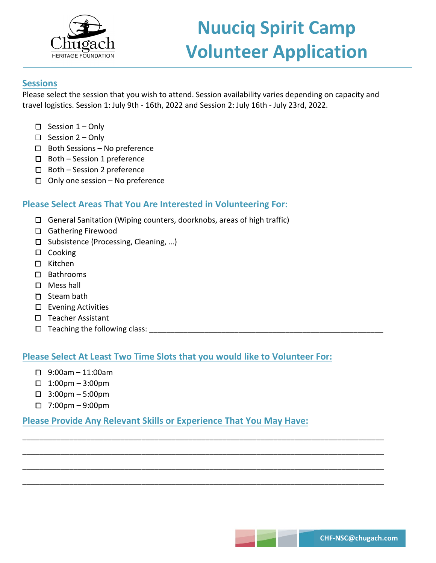

# **Nuuciq Spirit Camp Volunteer Application**

#### **Sessions**

Please select the session that you wish to attend. Session availability varies depending on capacity and travel logistics. Session 1: July 9th - 16th, 2022 and Session 2: July 16th - July 23rd, 2022.

- $\Box$  Session 1 Only
- $\square$  Session 2 Only
- $\square$  Both Sessions No preference
- $\Box$  Both Session 1 preference
- $\square$  Both Session 2 preference
- $\Box$  Only one session No preference

#### **Please Select Areas That You Are Interested in Volunteering For:**

- General Sanitation (Wiping counters, doorknobs, areas of high traffic)
- □ Gathering Firewood
- □ Subsistence (Processing, Cleaning, ...)
- $\square$  Cooking
- □ Kitchen
- Bathrooms
- □ Mess hall
- $\square$  Steam bath
- $\square$  Evening Activities
- $\square$  Teacher Assistant
- $\Box$  Teaching the following class:

#### **Please Select At Least Two Time Slots that you would like to Volunteer For:**

- $\Box$  9:00am 11:00am
- $\Box$  1:00pm 3:00pm
- 3:00pm 5:00pm
- $\Box$  7:00pm 9:00pm

#### **Please Provide Any Relevant Skills or Experience That You May Have:**

\_\_\_\_\_\_\_\_\_\_\_\_\_\_\_\_\_\_\_\_\_\_\_\_\_\_\_\_\_\_\_\_\_\_\_\_\_\_\_\_\_\_\_\_\_\_\_\_\_\_\_\_\_\_\_\_\_\_\_\_\_\_\_\_\_\_\_\_\_\_\_\_\_\_\_\_\_\_\_\_\_\_\_\_\_

\_\_\_\_\_\_\_\_\_\_\_\_\_\_\_\_\_\_\_\_\_\_\_\_\_\_\_\_\_\_\_\_\_\_\_\_\_\_\_\_\_\_\_\_\_\_\_\_\_\_\_\_\_\_\_\_\_\_\_\_\_\_\_\_\_\_\_\_\_\_\_\_\_\_\_\_\_\_\_\_\_\_\_\_\_

\_\_\_\_\_\_\_\_\_\_\_\_\_\_\_\_\_\_\_\_\_\_\_\_\_\_\_\_\_\_\_\_\_\_\_\_\_\_\_\_\_\_\_\_\_\_\_\_\_\_\_\_\_\_\_\_\_\_\_\_\_\_\_\_\_\_\_\_\_\_\_\_\_\_\_\_\_\_\_\_\_\_\_\_\_

\_\_\_\_\_\_\_\_\_\_\_\_\_\_\_\_\_\_\_\_\_\_\_\_\_\_\_\_\_\_\_\_\_\_\_\_\_\_\_\_\_\_\_\_\_\_\_\_\_\_\_\_\_\_\_\_\_\_\_\_\_\_\_\_\_\_\_\_\_\_\_\_\_\_\_\_\_\_\_\_\_\_\_\_\_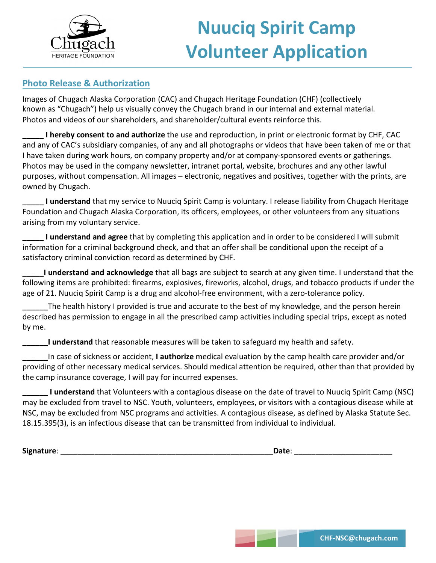

### **Photo Release & Authorization**

Images of Chugach Alaska Corporation (CAC) and Chugach Heritage Foundation (CHF) (collectively known as "Chugach") help us visually convey the Chugach brand in our internal and external material. Photos and videos of our shareholders, and shareholder/cultural events reinforce this.

**\_\_\_\_\_ I hereby consent to and authorize** the use and reproduction, in print or electronic format by CHF, CAC and any of CAC's subsidiary companies, of any and all photographs or videos that have been taken of me or that I have taken during work hours, on company property and/or at company-sponsored events or gatherings. Photos may be used in the company newsletter, intranet portal, website, brochures and any other lawful purposes, without compensation. All images – electronic, negatives and positives, together with the prints, are owned by Chugach.

**I understand** that my service to Nuuciq Spirit Camp is voluntary. I release liability from Chugach Heritage Foundation and Chugach Alaska Corporation, its officers, employees, or other volunteers from any situations arising from my voluntary service.

**\_\_\_\_\_ I understand and agree** that by completing this application and in order to be considered I will submit information for a criminal background check, and that an offer shall be conditional upon the receipt of a satisfactory criminal conviction record as determined by CHF.

**\_\_\_\_\_I understand and acknowledge** that all bags are subject to search at any given time. I understand that the following items are prohibited: firearms, explosives, fireworks, alcohol, drugs, and tobacco products if under the age of 21. Nuuciq Spirit Camp is a drug and alcohol-free environment, with a zero-tolerance policy.

**\_\_\_\_\_\_**The health history I provided is true and accurate to the best of my knowledge, and the person herein described has permission to engage in all the prescribed camp activities including special trips, except as noted by me.

**\_\_\_\_\_\_I understand** that reasonable measures will be taken to safeguard my health and safety.

**\_\_\_\_\_\_**In case of sickness or accident, **I authorize** medical evaluation by the camp health care provider and/or providing of other necessary medical services. Should medical attention be required, other than that provided by the camp insurance coverage, I will pay for incurred expenses.

**\_\_\_\_\_\_ I understand** that Volunteers with a contagious disease on the date of travel to Nuuciq Spirit Camp (NSC) may be excluded from travel to NSC. Youth, volunteers, employees, or visitors with a contagious disease while at NSC, may be excluded from NSC programs and activities. A contagious disease, as defined by Alaska Statute Sec. 18.15.395(3), is an infectious disease that can be transmitted from individual to individual.

Signature:

| Date: |  |  |
|-------|--|--|
|       |  |  |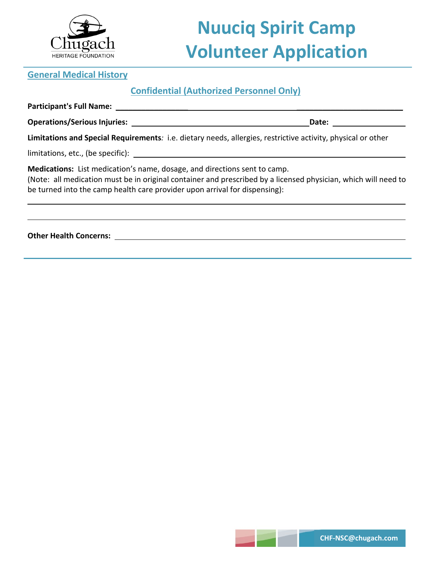

# **Nuuciq Spirit Camp Volunteer Application**

#### **General Medical History**

### **Confidential (Authorized Personnel Only)**

**Participant's Full Name:** \_\_\_\_\_\_\_\_\_\_\_\_\_\_\_\_\_ \_\_\_\_\_\_\_\_\_\_\_\_\_\_\_\_\_\_\_\_\_\_\_\_\_

**Operations/Serious Injuries: Date: Date: Date: Date: Date: Date: Date: Date: Date: Date: Date: Date: Date: Date: Date: Date: Date: Date: Date: Date: Date: Date: Date: Date:** 

**Limitations and Special Requirements***:* i.e. dietary needs, allergies, restrictive activity, physical or other

limitations, etc., (be specific):

**Medications:**List medication's name, dosage, and directions sent to camp.

(Note: all medication must be in original container and prescribed by a licensed physician, which will need to be turned into the camp health care provider upon arrival for dispensing):

**Other Health Concerns:**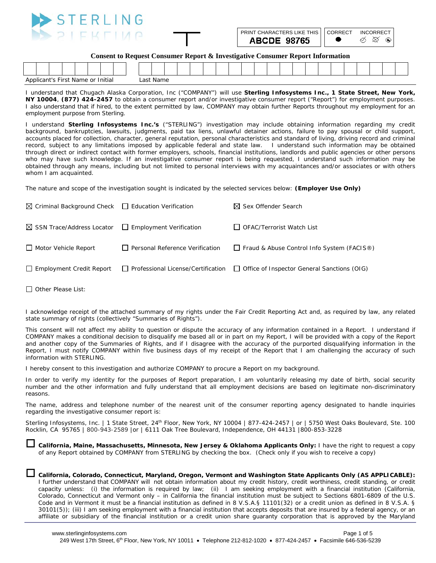

| PRINT CHARACTERS LIKE THIS   CORRECT INCORRECT |  |
|------------------------------------------------|--|
| <b>ABCDE 98765</b>                             |  |

**Consent to Request Consumer Report & Investigative Consumer Report Information**

| Initial<br>Name<br>Applicant's F<br>Firct<br>or |  |  |  |  |  |  | ___ | $\sim$<br>Last Name |  |  |  |  |  |  |  |  |  |  |  |
|-------------------------------------------------|--|--|--|--|--|--|-----|---------------------|--|--|--|--|--|--|--|--|--|--|--|

I understand that Chugach Alaska Corporation, Inc ("COMPANY") will use **Sterling Infosystems Inc., 1 State Street, New York, NY 10004**, **(877) 424-2457** to obtain a consumer report and/or investigative consumer report ("Report") for employment purposes. I also understand that if hired, to the extent permitted by law, COMPANY may obtain further Reports throughout my employment for an employment purpose from Sterling.

I understand **Sterling Infosystems Inc.'s** ("STERLING") investigation may include obtaining information regarding my credit background, bankruptcies, lawsuits, judgments, paid tax liens, unlawful detainer actions, failure to pay spousal or child support, accounts placed for collection, character, general reputation, personal characteristics and standard of living, driving record and criminal record, subject to any limitations imposed by applicable federal and state law. I understand such information may be obtained through direct or indirect contact with former employers, schools, financial institutions, landlords and public agencies or other persons who may have such knowledge. If an investigative consumer report is being requested, I understand such information may be obtained through any means, including but not limited to personal interviews with my acquaintances and/or associates or with others whom I am acquainted.

The nature and scope of the investigation sought is indicated by the selected services below: **(Employer Use Only)**

| $\boxtimes$ Criminal Background Check $\Box$ Education Verification  |                                 | $\boxtimes$ Sex Offender Search                                                              |
|----------------------------------------------------------------------|---------------------------------|----------------------------------------------------------------------------------------------|
| $\boxtimes$ SSN Trace/Address Locator $\Box$ Employment Verification |                                 | OFAC/Terrorist Watch List                                                                    |
| □ Motor Vehicle Report                                               | Personal Reference Verification | Fraud & Abuse Control Info System (FACIS <sup>®</sup> )                                      |
| $\Box$ Employment Credit Report                                      |                                 | $\Box$ Professional License/Certification $\Box$ Office of Inspector General Sanctions (OIG) |

 $\Box$  Other Please List:

I acknowledge receipt of the attached summary of my rights under the Fair Credit Reporting Act and, as required by law, any related state summary of rights (collectively "Summaries of Rights").

This consent will not affect my ability to question or dispute the accuracy of any information contained in a Report. I understand if COMPANY makes a conditional decision to disqualify me based all or in part on my Report, I will be provided with a copy of the Report and another copy of the Summaries of Rights, and if I disagree with the accuracy of the purported disqualifying information in the Report, I must notify COMPANY within five business days of my receipt of the Report that I am challenging the accuracy of such information with STERLING.

I hereby consent to this investigation and authorize COMPANY to procure a Report on my background.

In order to verify my identity for the purposes of Report preparation, I am voluntarily releasing my date of birth, social security number and the other information and fully understand that all employment decisions are based on legitimate non-discriminatory reasons.

The name, address and telephone number of the nearest unit of the consumer reporting agency designated to handle inquiries regarding the investigative consumer report is:

Sterling Infosystems, Inc. | 1 State Street, 24<sup>th</sup> Floor, New York, NY 10004 | 877-424-2457 | or | 5750 West Oaks Boulevard, Ste. 100 Rocklin, CA 95765 | 800-943-2589 |or | 6111 Oak Tree Boulevard, Independence, OH 44131 |800-853-3228

 **California, Maine, Massachusetts, Minnesota, New Jersey & Oklahoma Applicants Only:** I have the right to request a copy of any Report obtained by COMPANY from STERLING by checking the box. (Check only if you wish to receive a copy)

#### **California, Colorado, Connecticut, Maryland, Oregon, Vermont and Washington State Applicants Only (AS APPLICABLE):**

I further understand that COMPANY will not obtain information about my credit history, credit worthiness, credit standing, or credit capacity unless: (i) the information is required by law; (ii) I am seeking employment with a financial institution (California, Colorado, Connecticut and Vermont only – in California the financial institution must be subject to Sections 6801-6809 of the U.S. Code and in Vermont it must be a financial institution as defined in 8 V.S.A.§ 11101(32) or a credit union as defined in 8 V.S.A. § 30101(5)); (iii) I am seeking employment with a financial institution that accepts deposits that are insured by a federal agency, or an affiliate or subsidiary of the financial institution or a credit union share guaranty corporation that is approved by the Maryland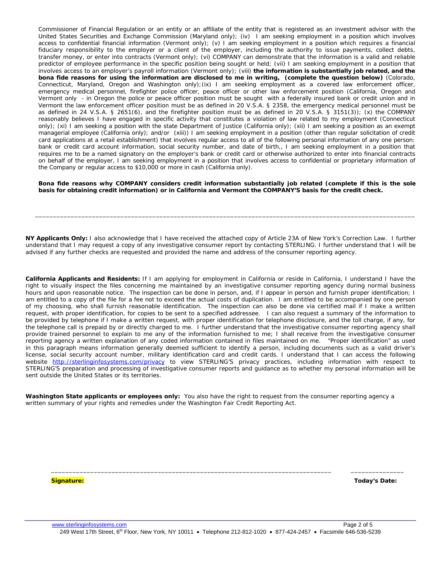Commissioner of Financial Regulation or an entity or an affiliate of the entity that is registered as an investment advisor with the United States Securities and Exchange Commission (Maryland only); (iv) I am seeking employment in a position which involves access to confidential financial information (Vermont only); (v) I am seeking employment in a position which requires a financial fiduciary responsibility to the employer or a client of the employer, including the authority to issue payments, collect debts, transfer money, or enter into contracts (Vermont only); (vi) COMPANY can demonstrate that the information is a valid and reliable predictor of employee performance in the specific position being sought or held; (vii) I am seeking employment in a position that involves access to an employer's payroll information (Vermont only); (viii) **the information is substantially job related, and the bona fide reasons for using the information are disclosed to me in writing, (complete the question below)** (Colorado, Connecticut, Maryland, Oregon and Washington only);(ix) I am seeking employment as a covered law enforcement officer, emergency medical personnel, firefighter police officer, peace officer or other law enforcement position (California, Oregon and Vermont only - in Oregon the police or peace officer position must be sought with a federally insured bank or credit union and in Vermont the law enforcement officer position must be as defined in 20 V.S.A. § 2358, the emergency medical personnel must be as defined in 24 V.S.A. § 2651(6), and the firefighter position must be as defined in 20 V.S.A. § 3151(3)); (x) the COMPANY reasonably believes I have engaged in specific activity that constitutes a violation of law related to my employment (Connecticut only); (xi) I am seeking a position with the state Department of Justice (California only); (xii) I am seeking a position as an exempt managerial employee (California only); and/or (xiii)) I am seeking employment in a position (other than regular solicitation of credit card applications at a retail establishment) that involves regular access to all of the following personal information of any one person: bank or credit card account information, social security number, and date of birth,, I am seeking employment in a position that requires me to be a named signatory on the employer's bank or credit card or otherwise authorized to enter into financial contracts on behalf of the employer, I am seeking employment in a position that involves access to confidential or proprietary information of the Company or regular access to \$10,000 or more in cash (California only).

**Bona fide reasons why COMPANY considers credit information substantially job related (complete if this is the sole basis for obtaining credit information) or in California and Vermont the COMPANY'S basis for the credit check.**

\_\_\_\_\_\_\_\_\_\_\_\_\_\_\_\_\_\_\_\_\_\_\_\_\_\_\_\_\_\_\_\_\_\_\_\_\_\_\_\_\_\_\_\_\_\_\_\_\_\_\_\_\_\_\_\_\_\_\_\_\_\_\_\_\_\_\_\_\_\_\_\_\_\_\_\_\_\_\_\_\_\_\_\_\_\_\_\_\_\_\_\_\_\_\_\_\_\_\_\_\_\_\_\_\_\_\_

**NY Applicants Only:** I also acknowledge that I have received the attached copy of Article 23A of New York's Correction Law. I further understand that I may request a copy of any investigative consumer report by contacting STERLING. I further understand that I will be advised if any further checks are requested and provided the name and address of the consumer reporting agency.

**California Applicants and Residents:** If I am applying for employment in California or reside in California, I understand I have the right to visually inspect the files concerning me maintained by an investigative consumer reporting agency during normal business hours and upon reasonable notice. The inspection can be done in person, and, if I appear in person and furnish proper identification; I am entitled to a copy of the file for a fee not to exceed the actual costs of duplication. I am entitled to be accompanied by one person of my choosing, who shall furnish reasonable identification. The inspection can also be done via certified mail if I make a written request, with proper identification, for copies to be sent to a specified addressee. I can also request a summary of the information to be provided by telephone if I make a written request, with proper identification for telephone disclosure, and the toll charge, if any, for the telephone call is prepaid by or directly charged to me. I further understand that the investigative consumer reporting agency shall provide trained personnel to explain to me any of the information furnished to me; I shall receive from the investigative consumer reporting agency a written explanation of any coded information contained in files maintained on me. "Proper identification" as used in this paragraph means information generally deemed sufficient to identify a person, including documents such as a valid driver's license, social security account number, military identification card and credit cards. I understand that I can access the following website <http://sterlinginfosystems.com/privacy> to view STERLING'S privacy practices, including information with respect to STERLING'S preparation and processing of investigative consumer reports and guidance as to whether my personal information will be sent outside the United States or its territories.

**Washington State applicants or employees only:** You also have the right to request from the consumer reporting agency a written summary of your rights and remedies under the Washington Fair Credit Reporting Act.

**Signature: Today's Date:**

 $\_$  ,  $\_$  ,  $\_$  ,  $\_$  ,  $\_$  ,  $\_$  ,  $\_$  ,  $\_$  ,  $\_$  ,  $\_$  ,  $\_$  ,  $\_$  ,  $\_$  ,  $\_$  ,  $\_$  ,  $\_$  ,  $\_$  ,  $\_$  ,  $\_$  ,  $\_$  ,  $\_$  ,  $\_$  ,  $\_$  ,  $\_$  ,  $\_$  ,  $\_$  ,  $\_$  ,  $\_$  ,  $\_$  ,  $\_$  ,  $\_$  ,  $\_$  ,  $\_$  ,  $\_$  ,  $\_$  ,  $\_$  ,  $\_$  ,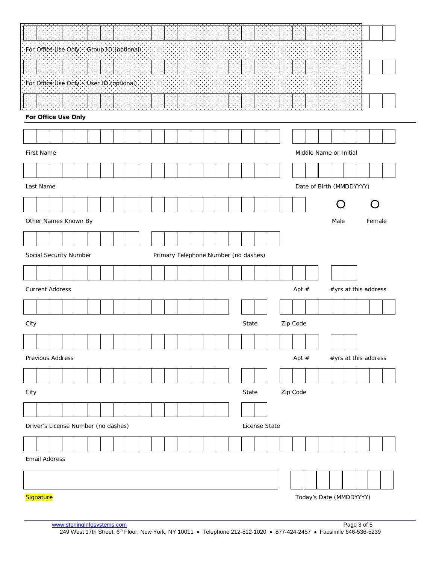|                                          | For Office Use Only - Group ID (optional) |  |  |  |  |  |  |  |  |  |  |  |  |                                      |               |          |          |  |      |                         |                      |  |  |
|------------------------------------------|-------------------------------------------|--|--|--|--|--|--|--|--|--|--|--|--|--------------------------------------|---------------|----------|----------|--|------|-------------------------|----------------------|--|--|
|                                          |                                           |  |  |  |  |  |  |  |  |  |  |  |  |                                      |               |          |          |  |      |                         |                      |  |  |
| For Office Use Only - User ID (optional) |                                           |  |  |  |  |  |  |  |  |  |  |  |  |                                      |               |          |          |  |      |                         |                      |  |  |
|                                          |                                           |  |  |  |  |  |  |  |  |  |  |  |  |                                      |               |          |          |  |      |                         |                      |  |  |
|                                          | For Office Use Only                       |  |  |  |  |  |  |  |  |  |  |  |  |                                      |               |          |          |  |      |                         |                      |  |  |
|                                          |                                           |  |  |  |  |  |  |  |  |  |  |  |  |                                      |               |          |          |  |      |                         |                      |  |  |
| First Name<br>Middle Name or Initial     |                                           |  |  |  |  |  |  |  |  |  |  |  |  |                                      |               |          |          |  |      |                         |                      |  |  |
|                                          |                                           |  |  |  |  |  |  |  |  |  |  |  |  |                                      |               |          |          |  |      |                         |                      |  |  |
| Last Name<br>Date of Birth (MMDDYYYY)    |                                           |  |  |  |  |  |  |  |  |  |  |  |  |                                      |               |          |          |  |      |                         |                      |  |  |
|                                          |                                           |  |  |  |  |  |  |  |  |  |  |  |  |                                      |               |          |          |  |      |                         |                      |  |  |
| Other Names Known By                     |                                           |  |  |  |  |  |  |  |  |  |  |  |  |                                      |               |          |          |  | Male |                         | Female               |  |  |
|                                          |                                           |  |  |  |  |  |  |  |  |  |  |  |  |                                      |               |          |          |  |      |                         |                      |  |  |
| Social Security Number                   |                                           |  |  |  |  |  |  |  |  |  |  |  |  | Primary Telephone Number (no dashes) |               |          |          |  |      |                         |                      |  |  |
|                                          |                                           |  |  |  |  |  |  |  |  |  |  |  |  |                                      |               |          |          |  |      |                         |                      |  |  |
| <b>Current Address</b>                   |                                           |  |  |  |  |  |  |  |  |  |  |  |  |                                      |               |          | Apt $#$  |  |      |                         | #yrs at this address |  |  |
|                                          |                                           |  |  |  |  |  |  |  |  |  |  |  |  |                                      |               |          |          |  |      |                         |                      |  |  |
| City                                     |                                           |  |  |  |  |  |  |  |  |  |  |  |  | State                                |               |          | Zip Code |  |      |                         |                      |  |  |
|                                          |                                           |  |  |  |  |  |  |  |  |  |  |  |  |                                      |               |          |          |  |      |                         |                      |  |  |
| Previous Address                         |                                           |  |  |  |  |  |  |  |  |  |  |  |  |                                      |               |          | Apt $#$  |  |      |                         | #yrs at this address |  |  |
|                                          |                                           |  |  |  |  |  |  |  |  |  |  |  |  |                                      |               |          |          |  |      |                         |                      |  |  |
| City                                     |                                           |  |  |  |  |  |  |  |  |  |  |  |  | State                                |               | Zip Code |          |  |      |                         |                      |  |  |
|                                          |                                           |  |  |  |  |  |  |  |  |  |  |  |  |                                      |               |          |          |  |      |                         |                      |  |  |
| Driver's License Number (no dashes)      |                                           |  |  |  |  |  |  |  |  |  |  |  |  |                                      | License State |          |          |  |      |                         |                      |  |  |
|                                          |                                           |  |  |  |  |  |  |  |  |  |  |  |  |                                      |               |          |          |  |      |                         |                      |  |  |
| <b>Email Address</b>                     |                                           |  |  |  |  |  |  |  |  |  |  |  |  |                                      |               |          |          |  |      |                         |                      |  |  |
|                                          |                                           |  |  |  |  |  |  |  |  |  |  |  |  |                                      |               |          |          |  |      |                         |                      |  |  |
| Signature                                |                                           |  |  |  |  |  |  |  |  |  |  |  |  |                                      |               |          |          |  |      | Today's Date (MMDDYYYY) |                      |  |  |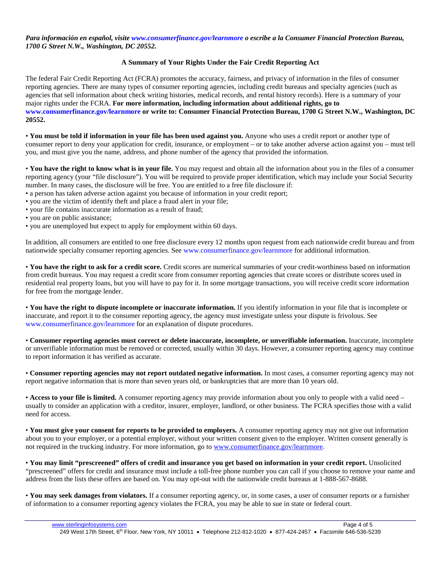*Para información en español, visite www.consumerfinance.gov/learnmore o escribe a la Consumer Financial Protection Bureau, 1700 G Street N.W., Washington, DC 20552.*

#### **A Summary of Your Rights Under the Fair Credit Reporting Act**

The federal Fair Credit Reporting Act (FCRA) promotes the accuracy, fairness, and privacy of information in the files of consumer reporting agencies. There are many types of consumer reporting agencies, including credit bureaus and specialty agencies (such as agencies that sell information about check writing histories, medical records, and rental history records). Here is a summary of your major rights under the FCRA. **For more information, including information about additional rights, go to www.consumerfinance.gov/learnmore or write to: Consumer Financial Protection Bureau, 1700 G Street N.W., Washington, DC 20552.**

• **You must be told if information in your file has been used against you.** Anyone who uses a credit report or another type of consumer report to deny your application for credit, insurance, or employment – or to take another adverse action against you – must tell you, and must give you the name, address, and phone number of the agency that provided the information.

• **You have the right to know what is in your file.** You may request and obtain all the information about you in the files of a consumer reporting agency (your "file disclosure"). You will be required to provide proper identification, which may include your Social Security number. In many cases, the disclosure will be free. You are entitled to a free file disclosure if:

- a person has taken adverse action against you because of information in your credit report;
- you are the victim of identify theft and place a fraud alert in your file;
- your file contains inaccurate information as a result of fraud;
- you are on public assistance;
- you are unemployed but expect to apply for employment within 60 days.

In addition, all consumers are entitled to one free disclosure every 12 months upon request from each nationwide credit bureau and from nationwide specialty consumer reporting agencies. See www.consumerfinance.gov/learnmore for additional information.

• **You have the right to ask for a credit score.** Credit scores are numerical summaries of your credit-worthiness based on information from credit bureaus. You may request a credit score from consumer reporting agencies that create scores or distribute scores used in residential real property loans, but you will have to pay for it. In some mortgage transactions, you will receive credit score information for free from the mortgage lender.

• **You have the right to dispute incomplete or inaccurate information.** If you identify information in your file that is incomplete or inaccurate, and report it to the consumer reporting agency, the agency must investigate unless your dispute is frivolous. See www.consumerfinance.gov/learnmore for an explanation of dispute procedures.

• **Consumer reporting agencies must correct or delete inaccurate, incomplete, or unverifiable information.** Inaccurate, incomplete or unverifiable information must be removed or corrected, usually within 30 days. However, a consumer reporting agency may continue to report information it has verified as accurate.

• **Consumer reporting agencies may not report outdated negative information.** In most cases, a consumer reporting agency may not report negative information that is more than seven years old, or bankruptcies that are more than 10 years old.

• **Access to your file is limited.** A consumer reporting agency may provide information about you only to people with a valid need – usually to consider an application with a creditor, insurer, employer, landlord, or other business. The FCRA specifies those with a valid need for access.

• **You must give your consent for reports to be provided to employers.** A consumer reporting agency may not give out information about you to your employer, or a potential employer, without your written consent given to the employer. Written consent generally is not required in the trucking industry. For more information, go to [www.consumerfinance.gov/learnmore.](http://www.consumerfinance.gov/learnmore)

• **You may limit "prescreened" offers of credit and insurance you get based on information in your credit report.** Unsolicited "prescreened" offers for credit and insurance must include a toll-free phone number you can call if you choose to remove your name and address from the lists these offers are based on. You may opt-out with the nationwide credit bureaus at 1-888-567-8688.

• **You may seek damages from violators.** If a consumer reporting agency, or, in some cases, a user of consumer reports or a furnisher of information to a consumer reporting agency violates the FCRA, you may be able to sue in state or federal court.